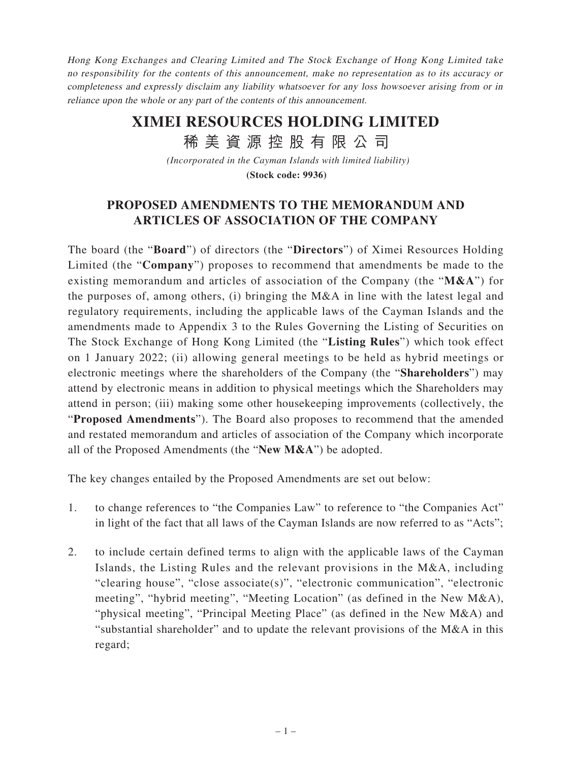Hong Kong Exchanges and Clearing Limited and The Stock Exchange of Hong Kong Limited take no responsibility for the contents of this announcement, make no representation as to its accuracy or completeness and expressly disclaim any liability whatsoever for any loss howsoever arising from or in reliance upon the whole or any part of the contents of this announcement.

## **XIMEI RESOURCES HOLDING LIMITED**

稀 美 資 源 控 股 有 限 公 司

*(Incorporated in the Cayman Islands with limited liability)*

**(Stock code: 9936)**

## **PROPOSED AMENDMENTS TO THE MEMORANDUM AND ARTICLES OF ASSOCIATION OF THE COMPANY**

The board (the "**Board**") of directors (the "**Directors**") of Ximei Resources Holding Limited (the "**Company**") proposes to recommend that amendments be made to the existing memorandum and articles of association of the Company (the "**M&A**") for the purposes of, among others, (i) bringing the M&A in line with the latest legal and regulatory requirements, including the applicable laws of the Cayman Islands and the amendments made to Appendix 3 to the Rules Governing the Listing of Securities on The Stock Exchange of Hong Kong Limited (the "**Listing Rules**") which took effect on 1 January 2022; (ii) allowing general meetings to be held as hybrid meetings or electronic meetings where the shareholders of the Company (the "**Shareholders**") may attend by electronic means in addition to physical meetings which the Shareholders may attend in person; (iii) making some other housekeeping improvements (collectively, the "**Proposed Amendments**"). The Board also proposes to recommend that the amended and restated memorandum and articles of association of the Company which incorporate all of the Proposed Amendments (the "**New M&A**") be adopted.

The key changes entailed by the Proposed Amendments are set out below:

- 1. to change references to "the Companies Law" to reference to "the Companies Act" in light of the fact that all laws of the Cayman Islands are now referred to as "Acts";
- 2. to include certain defined terms to align with the applicable laws of the Cayman Islands, the Listing Rules and the relevant provisions in the M&A, including "clearing house", "close associate(s)", "electronic communication", "electronic meeting", "hybrid meeting", "Meeting Location" (as defined in the New M&A), "physical meeting", "Principal Meeting Place" (as defined in the New M&A) and "substantial shareholder" and to update the relevant provisions of the M&A in this regard;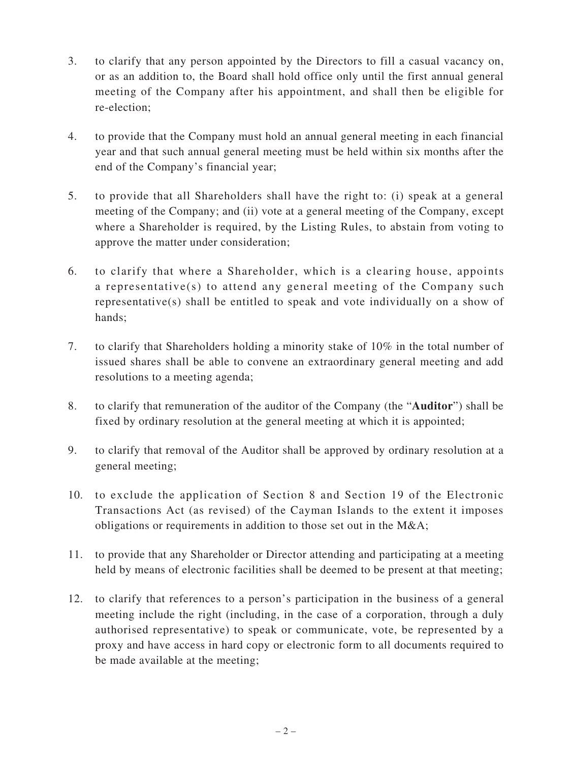- 3. to clarify that any person appointed by the Directors to fill a casual vacancy on, or as an addition to, the Board shall hold office only until the first annual general meeting of the Company after his appointment, and shall then be eligible for re-election;
- 4. to provide that the Company must hold an annual general meeting in each financial year and that such annual general meeting must be held within six months after the end of the Company's financial year;
- 5. to provide that all Shareholders shall have the right to: (i) speak at a general meeting of the Company; and (ii) vote at a general meeting of the Company, except where a Shareholder is required, by the Listing Rules, to abstain from voting to approve the matter under consideration;
- 6. to clarify that where a Shareholder, which is a clearing house, appoints a representative(s) to attend any general meeting of the Company such representative(s) shall be entitled to speak and vote individually on a show of hands;
- 7. to clarify that Shareholders holding a minority stake of 10% in the total number of issued shares shall be able to convene an extraordinary general meeting and add resolutions to a meeting agenda;
- 8. to clarify that remuneration of the auditor of the Company (the "**Auditor**") shall be fixed by ordinary resolution at the general meeting at which it is appointed;
- 9. to clarify that removal of the Auditor shall be approved by ordinary resolution at a general meeting;
- 10. to exclude the application of Section 8 and Section 19 of the Electronic Transactions Act (as revised) of the Cayman Islands to the extent it imposes obligations or requirements in addition to those set out in the M&A;
- 11. to provide that any Shareholder or Director attending and participating at a meeting held by means of electronic facilities shall be deemed to be present at that meeting;
- 12. to clarify that references to a person's participation in the business of a general meeting include the right (including, in the case of a corporation, through a duly authorised representative) to speak or communicate, vote, be represented by a proxy and have access in hard copy or electronic form to all documents required to be made available at the meeting;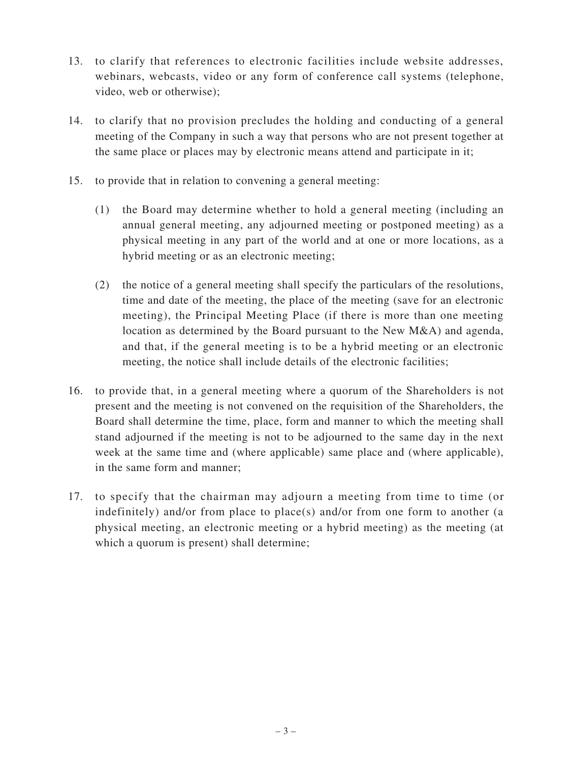- 13. to clarify that references to electronic facilities include website addresses, webinars, webcasts, video or any form of conference call systems (telephone, video, web or otherwise);
- 14. to clarify that no provision precludes the holding and conducting of a general meeting of the Company in such a way that persons who are not present together at the same place or places may by electronic means attend and participate in it;
- 15. to provide that in relation to convening a general meeting:
	- (1) the Board may determine whether to hold a general meeting (including an annual general meeting, any adjourned meeting or postponed meeting) as a physical meeting in any part of the world and at one or more locations, as a hybrid meeting or as an electronic meeting;
	- (2) the notice of a general meeting shall specify the particulars of the resolutions, time and date of the meeting, the place of the meeting (save for an electronic meeting), the Principal Meeting Place (if there is more than one meeting location as determined by the Board pursuant to the New M&A) and agenda, and that, if the general meeting is to be a hybrid meeting or an electronic meeting, the notice shall include details of the electronic facilities;
- 16. to provide that, in a general meeting where a quorum of the Shareholders is not present and the meeting is not convened on the requisition of the Shareholders, the Board shall determine the time, place, form and manner to which the meeting shall stand adjourned if the meeting is not to be adjourned to the same day in the next week at the same time and (where applicable) same place and (where applicable), in the same form and manner;
- 17. to specify that the chairman may adjourn a meeting from time to time (or indefinitely) and/or from place to place(s) and/or from one form to another (a physical meeting, an electronic meeting or a hybrid meeting) as the meeting (at which a quorum is present) shall determine;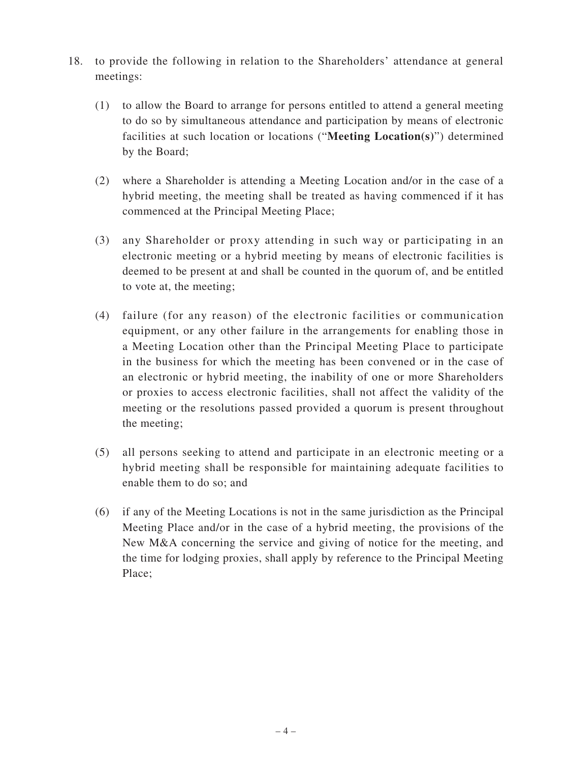- 18. to provide the following in relation to the Shareholders' attendance at general meetings:
	- (1) to allow the Board to arrange for persons entitled to attend a general meeting to do so by simultaneous attendance and participation by means of electronic facilities at such location or locations ("**Meeting Location(s)**") determined by the Board;
	- (2) where a Shareholder is attending a Meeting Location and/or in the case of a hybrid meeting, the meeting shall be treated as having commenced if it has commenced at the Principal Meeting Place;
	- (3) any Shareholder or proxy attending in such way or participating in an electronic meeting or a hybrid meeting by means of electronic facilities is deemed to be present at and shall be counted in the quorum of, and be entitled to vote at, the meeting;
	- (4) failure (for any reason) of the electronic facilities or communication equipment, or any other failure in the arrangements for enabling those in a Meeting Location other than the Principal Meeting Place to participate in the business for which the meeting has been convened or in the case of an electronic or hybrid meeting, the inability of one or more Shareholders or proxies to access electronic facilities, shall not affect the validity of the meeting or the resolutions passed provided a quorum is present throughout the meeting;
	- (5) all persons seeking to attend and participate in an electronic meeting or a hybrid meeting shall be responsible for maintaining adequate facilities to enable them to do so; and
	- (6) if any of the Meeting Locations is not in the same jurisdiction as the Principal Meeting Place and/or in the case of a hybrid meeting, the provisions of the New M&A concerning the service and giving of notice for the meeting, and the time for lodging proxies, shall apply by reference to the Principal Meeting Place;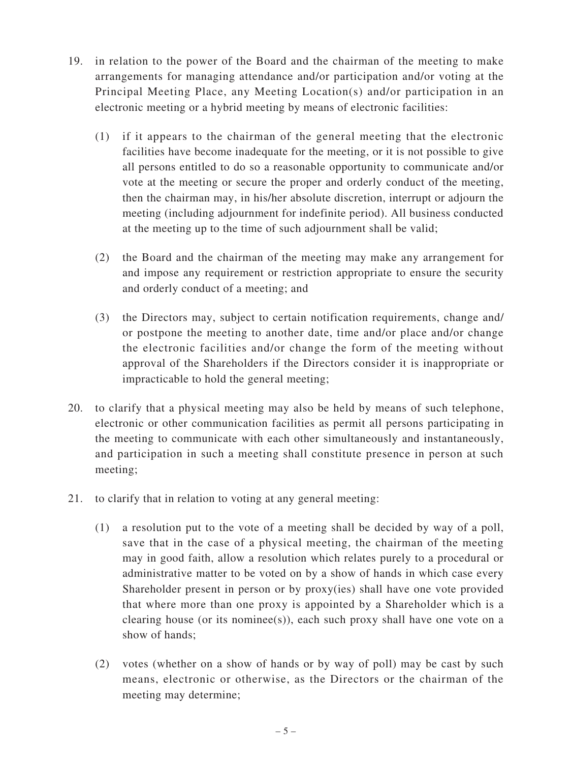- 19. in relation to the power of the Board and the chairman of the meeting to make arrangements for managing attendance and/or participation and/or voting at the Principal Meeting Place, any Meeting Location(s) and/or participation in an electronic meeting or a hybrid meeting by means of electronic facilities:
	- (1) if it appears to the chairman of the general meeting that the electronic facilities have become inadequate for the meeting, or it is not possible to give all persons entitled to do so a reasonable opportunity to communicate and/or vote at the meeting or secure the proper and orderly conduct of the meeting, then the chairman may, in his/her absolute discretion, interrupt or adjourn the meeting (including adjournment for indefinite period). All business conducted at the meeting up to the time of such adjournment shall be valid;
	- (2) the Board and the chairman of the meeting may make any arrangement for and impose any requirement or restriction appropriate to ensure the security and orderly conduct of a meeting; and
	- (3) the Directors may, subject to certain notification requirements, change and/ or postpone the meeting to another date, time and/or place and/or change the electronic facilities and/or change the form of the meeting without approval of the Shareholders if the Directors consider it is inappropriate or impracticable to hold the general meeting;
- 20. to clarify that a physical meeting may also be held by means of such telephone, electronic or other communication facilities as permit all persons participating in the meeting to communicate with each other simultaneously and instantaneously, and participation in such a meeting shall constitute presence in person at such meeting;
- 21. to clarify that in relation to voting at any general meeting:
	- (1) a resolution put to the vote of a meeting shall be decided by way of a poll, save that in the case of a physical meeting, the chairman of the meeting may in good faith, allow a resolution which relates purely to a procedural or administrative matter to be voted on by a show of hands in which case every Shareholder present in person or by proxy(ies) shall have one vote provided that where more than one proxy is appointed by a Shareholder which is a clearing house (or its nominee(s)), each such proxy shall have one vote on a show of hands;
	- (2) votes (whether on a show of hands or by way of poll) may be cast by such means, electronic or otherwise, as the Directors or the chairman of the meeting may determine;